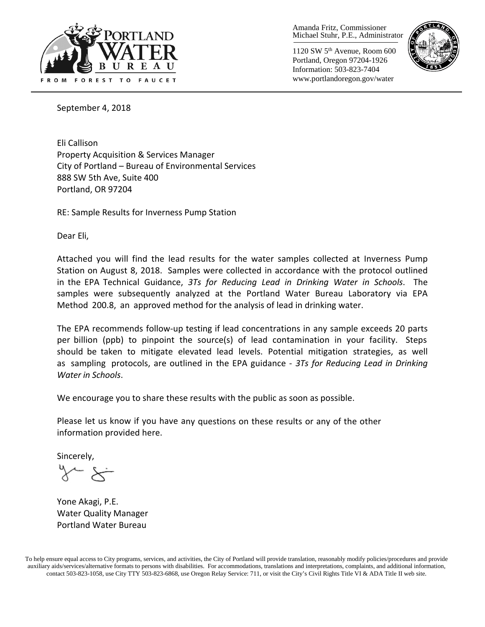

Amanda Fritz, Commissioner Michael Stuhr, P.E., Administrator

1120 SW 5th Avenue, Room 600 Portland, Oregon 97204-1926 Information: 503-823-7404 www.portlandoregon.gov/water



September 4, 2018

Eli Callison Property Acquisition & Services Manager City of Portland – Bureau of Environmental Services 888 SW 5th Ave, Suite 400 Portland, OR 97204

RE: Sample Results for Inverness Pump Station

Dear Eli,

Attached you will find the lead results for the water samples collected at Inverness Pump Station on August 8, 2018. Samples were collected in accordance with the protocol outlined in the EPA Technical Guidance, *3Ts for Reducing Lead in Drinking Water in Schools*. The samples were subsequently analyzed at the Portland Water Bureau Laboratory via EPA Method 200.8, an approved method for the analysis of lead in drinking water.

The EPA recommends follow-up testing if lead concentrations in any sample exceeds 20 parts per billion (ppb) to pinpoint the source(s) of lead contamination in your facility. Steps should be taken to mitigate elevated lead levels. Potential mitigation strategies, as well as sampling protocols, are outlined in the EPA guidance - *3Ts for Reducing Lead in Drinking Water in Schools*.

We encourage you to share these results with the public as soon as possible.

Please let us know if you have any questions on these results or any of the other information provided here.

Sincerely,

Yone Akagi, P.E. Water Quality Manager Portland Water Bureau

To help ensure equal access to City programs, services, and activities, the City of Portland will provide translation, reasonably modify policies/procedures and provide auxiliary aids/services/alternative formats to persons with disabilities. For accommodations, translations and interpretations, complaints, and additional information, contact 503-823-1058, use City TTY 503-823-6868, use Oregon Relay Service: 711, or visit the City's Civil Rights [Title VI & ADA Title II web site.](http://www.portlandoregon.gov/oehr/66458)